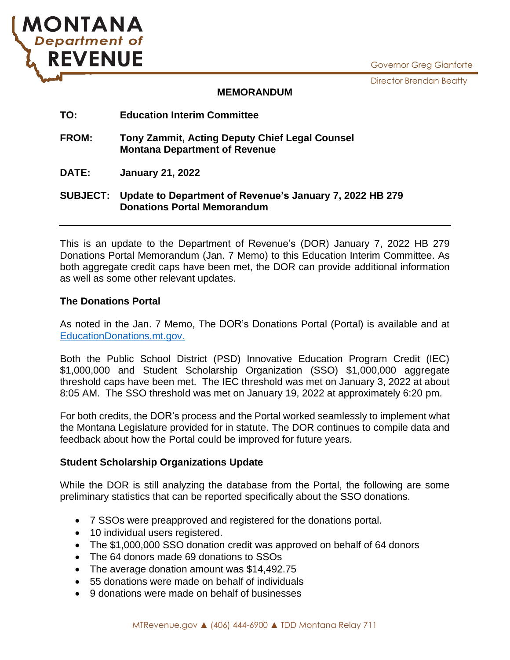

Director Brendan Beatty



#### **MEMORANDUM**

# **TO: Education Interim Committee FROM: Tony Zammit, Acting Deputy Chief Legal Counsel Montana Department of Revenue DATE: January 21, 2022 SUBJECT: Update to Department of Revenue's January 7, 2022 HB 279 Donations Portal Memorandum**

This is an update to the Department of Revenue's (DOR) January 7, 2022 HB 279 Donations Portal Memorandum (Jan. 7 Memo) to this Education Interim Committee. As both aggregate credit caps have been met, the DOR can provide additional information as well as some other relevant updates.

## **The Donations Portal**

As noted in the Jan. 7 Memo, The DOR's Donations Portal (Portal) is available and at [EducationDonations.mt.gov.](https://svc.mt.gov/dor/educationdonation2/)

Both the Public School District (PSD) Innovative Education Program Credit (IEC) \$1,000,000 and Student Scholarship Organization (SSO) \$1,000,000 aggregate threshold caps have been met. The IEC threshold was met on January 3, 2022 at about 8:05 AM. The SSO threshold was met on January 19, 2022 at approximately 6:20 pm.

For both credits, the DOR's process and the Portal worked seamlessly to implement what the Montana Legislature provided for in statute. The DOR continues to compile data and feedback about how the Portal could be improved for future years.

### **Student Scholarship Organizations Update**

While the DOR is still analyzing the database from the Portal, the following are some preliminary statistics that can be reported specifically about the SSO donations.

- 7 SSOs were preapproved and registered for the donations portal.
- 10 individual users registered.
- The \$1,000,000 SSO donation credit was approved on behalf of 64 donors
- The 64 donors made 69 donations to SSOs
- The average donation amount was \$14,492.75
- 55 donations were made on behalf of individuals
- 9 donations were made on behalf of businesses